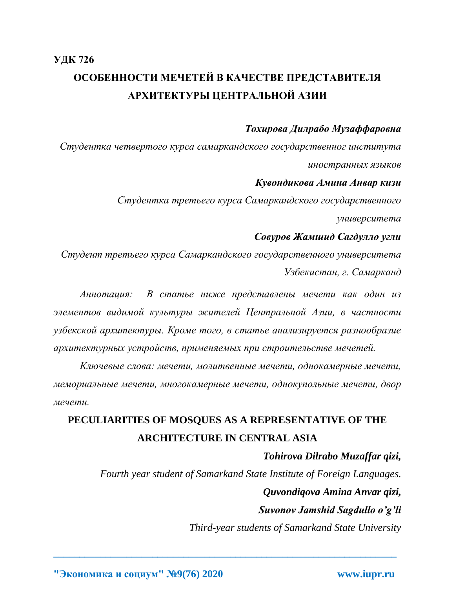## *Тохирова Дилрабо Музаффаровна*

*Студентка четвертого курса самаркандского государственног института иностранных языков* 

### *Кувондикова Амина Анвар кизи*

*Студентка третьего курса Самаркандского государственного*

*университета*

## *Совуров Жамшид Сагдулло угли*

*Студент третьего курса Самаркандского государственного университета Узбекистан, г. Самарканд*

*Аннотация: В статье ниже представлены мечети как один из элементов видимой культуры жителей Центральной Азии, в частности узбекской архитектуры. Кроме того, в статье анализируется разнообразие архитектурных устройств, применяемых при строительстве мечетей.* 

*Ключевые слова: мечети, молитвенные мечети, однокамерные мечети, мемориальные мечети, многокамерные мечети, однокупольные мечети, двор мечети.*

# **PECULIARITIES OF MOSQUES AS A REPRESENTATIVE OF THE ARCHITECTURE IN CENTRAL ASIA**

**\_\_\_\_\_\_\_\_\_\_\_\_\_\_\_\_\_\_\_\_\_\_\_\_\_\_\_\_\_\_\_\_\_\_\_\_\_\_\_\_\_\_\_\_\_\_\_\_\_\_\_\_\_\_\_\_\_\_\_\_\_\_\_\_\_\_**

## *Tohirova Dilrabo Muzaffar qizi,*

*Fourth year student of Samarkand State Institute of Foreign Languages.*

# *Quvondiqova Amina Anvar qizi,*

*Suvonov Jamshid Sagdullo o'g'li*

*Third-year students of Samarkand State University*

**"Экономика и социум" №9(76) 2020 www.iupr.ru**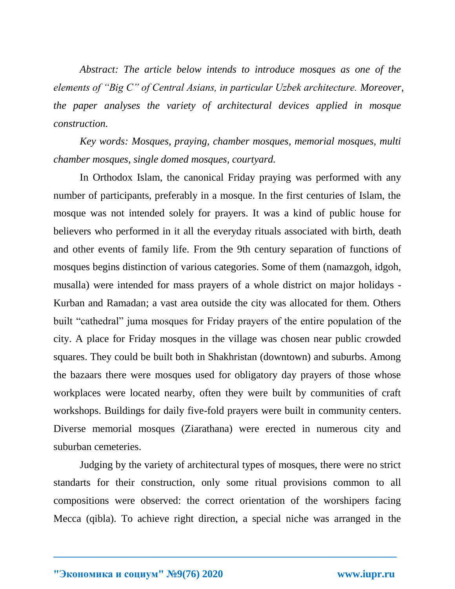*Abstract: The article below intends to introduce mosques as one of the elements of "Big C" of Central Asians, in particular Uzbek architecture. Moreover, the paper analyses the variety of architectural devices applied in mosque construction.*

*Key words: Mosques, praying, chamber mosques, memorial mosques, multi chamber mosques, single domed mosques, courtyard.*

In Orthodox Islam, the canonical Friday praying was performed with any number of participants, preferably in a mosque. In the first centuries of Islam, the mosque was not intended solely for prayers. It was a kind of public house for believers who performed in it all the everyday rituals associated with birth, death and other events of family life. From the 9th century separation of functions of mosques begins distinction of various categories. Some of them (namazgoh, idgoh, musalla) were intended for mass prayers of a whole district on major holidays - Kurban and Ramadan; a vast area outside the city was allocated for them. Others built "cathedral" juma mosques for Friday prayers of the entire population of the city. A place for Friday mosques in the village was chosen near public crowded squares. They could be built both in Shakhristan (downtown) and suburbs. Among the bazaars there were mosques used for obligatory day prayers of those whose workplaces were located nearby, often they were built by communities of craft workshops. Buildings for daily five-fold prayers were built in community centers. Diverse memorial mosques (Ziarathana) were erected in numerous city and suburban cemeteries.

Judging by the variety of architectural types of mosques, there were no strict standarts for their construction, only some ritual provisions common to all compositions were observed: the correct orientation of the worshipers facing Mecca (qibla). To achieve right direction, a special niche was arranged in the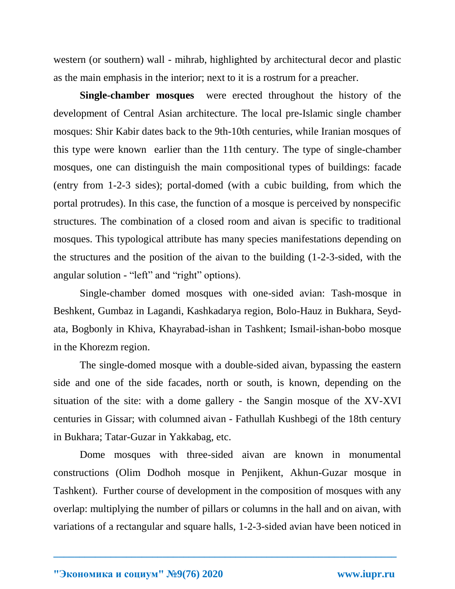western (or southern) wall - mihrab, highlighted by architectural decor and plastic as the main emphasis in the interior; next to it is a rostrum for a preacher.

**Single-chamber mosques** were erected throughout the history of the development of Central Asian architecture. The local pre-Islamic single chamber mosques: Shir Kabir dates back to the 9th-10th centuries, while Iranian mosques of this type were known earlier than the 11th century. The type of single-chamber mosques, one can distinguish the main compositional types of buildings: facade (entry from 1-2-3 sides); portal-domed (with a cubic building, from which the portal protrudes). In this case, the function of a mosque is perceived by nonspecific structures. The combination of a closed room and aivan is specific to traditional mosques. This typological attribute has many species manifestations depending on the structures and the position of the aivan to the building (1-2-3-sided, with the angular solution - "left" and "right" options).

Single-chamber domed mosques with one-sided avian: Tash-mosque in Beshkent, Gumbaz in Lagandi, Kashkadarya region, Bolo-Hauz in Bukhara, Seydata, Bogbonly in Khiva, Khayrabad-ishan in Tashkent; Ismail-ishan-bobo mosque in the Khorezm region.

The single-domed mosque with a double-sided aivan, bypassing the eastern side and one of the side facades, north or south, is known, depending on the situation of the site: with a dome gallery - the Sangin mosque of the XV-XVI centuries in Gissar; with columned aivan - Fathullah Kushbegi of the 18th century in Bukhara; Tatar-Guzar in Yakkabag, etc.

Dome mosques with three-sided aivan are known in monumental constructions (Olim Dodhoh mosque in Penjikent, Akhun-Guzar mosque in Tashkent). Further course of development in the composition of mosques with any overlap: multiplying the number of pillars or columns in the hall and on aivan, with variations of a rectangular and square halls, 1-2-3-sided avian have been noticed in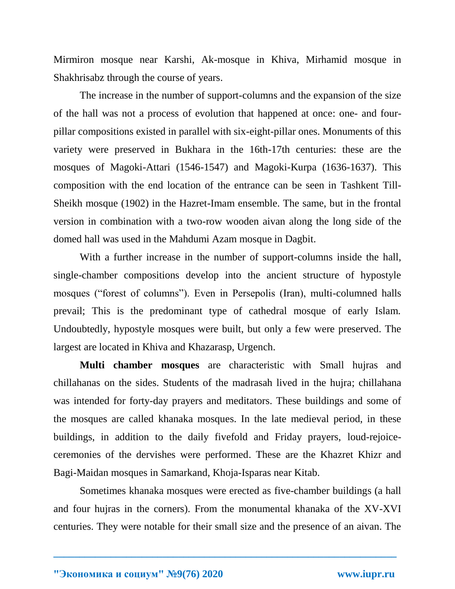Mirmiron mosque near Karshi, Ak-mosque in Khiva, Mirhamid mosque in Shakhrisabz through the course of years.

The increase in the number of support-columns and the expansion of the size of the hall was not a process of evolution that happened at once: one- and fourpillar compositions existed in parallel with six-eight-pillar ones. Monuments of this variety were preserved in Bukhara in the 16th-17th centuries: these are the mosques of Magoki-Attari (1546-1547) and Magoki-Kurpa (1636-1637). This composition with the end location of the entrance can be seen in Tashkent Till-Sheikh mosque (1902) in the Hazret-Imam ensemble. The same, but in the frontal version in combination with a two-row wooden aivan along the long side of the domed hall was used in the Mahdumi Azam mosque in Dagbit.

With a further increase in the number of support-columns inside the hall, single-chamber compositions develop into the ancient structure of hypostyle mosques ("forest of columns"). Even in Persepolis (Iran), multi-columned halls prevail; This is the predominant type of cathedral mosque of early Islam. Undoubtedly, hypostyle mosques were built, but only a few were preserved. The largest are located in Khiva and Khazarasp, Urgench.

**Multi chamber mosques** are characteristic with Small hujras and chillahanas on the sides. Students of the madrasah lived in the hujra; chillahana was intended for forty-day prayers and meditators. These buildings and some of the mosques are called khanaka mosques. In the late medieval period, in these buildings, in addition to the daily fivefold and Friday prayers, loud-rejoiceceremonies of the dervishes were performed. These are the Khazret Khizr and Bagi-Maidan mosques in Samarkand, Khoja-Isparas near Kitab.

Sometimes khanaka mosques were erected as five-chamber buildings (a hall and four hujras in the corners). From the monumental khanaka of the XV-XVI centuries. They were notable for their small size and the presence of an aivan. The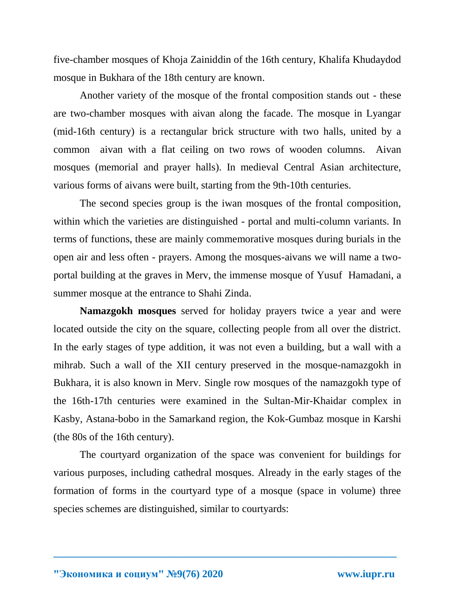five-chamber mosques of Khoja Zainiddin of the 16th century, Khalifa Khudaydod mosque in Bukhara of the 18th century are known.

Another variety of the mosque of the frontal composition stands out - these are two-chamber mosques with aivan along the facade. The mosque in Lyangar (mid-16th century) is a rectangular brick structure with two halls, united by a common aivan with a flat ceiling on two rows of wooden columns. Aivan mosques (memorial and prayer halls). In medieval Central Asian architecture, various forms of aivans were built, starting from the 9th-10th centuries.

The second species group is the iwan mosques of the frontal composition, within which the varieties are distinguished - portal and multi-column variants. In terms of functions, these are mainly commemorative mosques during burials in the open air and less often - prayers. Among the mosques-aivans we will name a twoportal building at the graves in Merv, the immense mosque of Yusuf Hamadani, a summer mosque at the entrance to Shahi Zinda.

**Namazgokh mosques** served for holiday prayers twice a year and were located outside the city on the square, collecting people from all over the district. In the early stages of type addition, it was not even a building, but a wall with a mihrab. Such a wall of the XII century preserved in the mosque-namazgokh in Bukhara, it is also known in Merv. Single row mosques of the namazgokh type of the 16th-17th centuries were examined in the Sultan-Mir-Khaidar complex in Kasby, Astana-bobo in the Samarkand region, the Kok-Gumbaz mosque in Karshi (the 80s of the 16th century).

The courtyard organization of the space was convenient for buildings for various purposes, including cathedral mosques. Already in the early stages of the formation of forms in the courtyard type of a mosque (space in volume) three species schemes are distinguished, similar to courtyards: